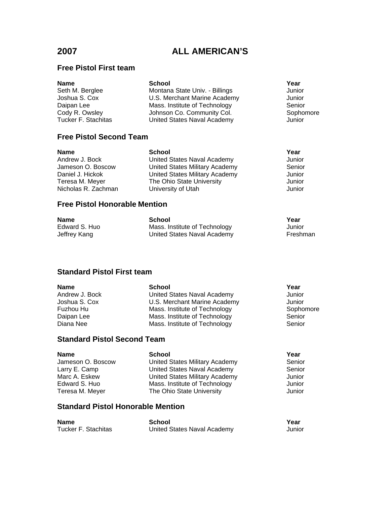### **Free Pistol First team**

| Name                | <b>School</b>                  | Year      |
|---------------------|--------------------------------|-----------|
| Seth M. Berglee     | Montana State Univ. - Billings | Junior    |
| Joshua S. Cox       | U.S. Merchant Marine Academy   | Junior    |
| Daipan Lee          | Mass. Institute of Technology  | Senior    |
| Cody R. Owsley      | Johnson Co. Community Col.     | Sophomore |
| Tucker F. Stachitas | United States Naval Academy    | Junior    |
|                     |                                |           |

# **Free Pistol Second Team**

| <b>Name</b>         | <b>School</b>                  | Year   |
|---------------------|--------------------------------|--------|
| Andrew J. Bock      | United States Naval Academy    | Junior |
| Jameson O. Boscow   | United States Military Academy | Senior |
| Daniel J. Hickok    | United States Military Academy | Junior |
| Teresa M. Meyer     | The Ohio State University      | Junior |
| Nicholas R. Zachman | University of Utah             | Junior |
|                     |                                |        |

# **Free Pistol Honorable Mention**

| <b>Name</b>   | School                        | Year     |
|---------------|-------------------------------|----------|
| Edward S. Huo | Mass. Institute of Technology | Junior   |
| Jeffrey Kang  | United States Naval Academy   | Freshman |

# **Standard Pistol First team**

| <b>Name</b>                        | <b>School</b>                 | Year      |  |
|------------------------------------|-------------------------------|-----------|--|
| Andrew J. Bock                     | United States Naval Academy   | Junior    |  |
| Joshua S. Cox                      | U.S. Merchant Marine Academy  | Junior    |  |
| Fuzhou Hu                          | Mass. Institute of Technology | Sophomore |  |
| Daipan Lee                         | Mass. Institute of Technology | Senior    |  |
| Diana Nee                          | Mass. Institute of Technology | Senior    |  |
| <b>Standard Pistol Second Team</b> |                               |           |  |

| <b>Name</b>       | <b>School</b>                  | Year   |
|-------------------|--------------------------------|--------|
| Jameson O. Boscow | United States Military Academy | Senior |
| Larry E. Camp     | United States Naval Academy    | Senior |
| Marc A. Eskew     | United States Military Academy | Junior |
| Edward S. Huo     | Mass. Institute of Technology  | Junior |
| Teresa M. Meyer   | The Ohio State University      | Junior |
|                   |                                |        |

### **Standard Pistol Honorable Mention**

| <b>Name</b>         | School                      | Year   |
|---------------------|-----------------------------|--------|
| Tucker F. Stachitas | United States Naval Academy | Junior |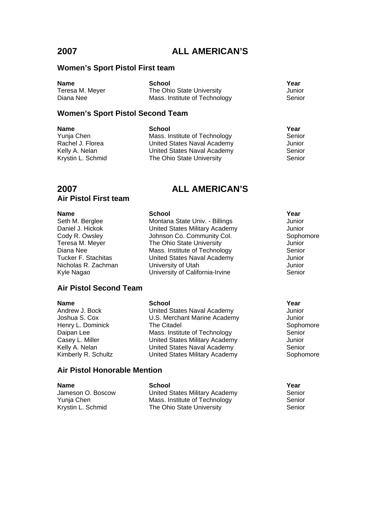### **Women's Sport Pistol First team**

**Name School School School Xear** Teresa M. Meyer The Ohio State University These Junior Diana Nee **Mass.** Institute of Technology **Senior** Senior

### **Women's Sport Pistol Second Team**

**Name School Year** Yunja Chen **Mass.** Institute of Technology **Senior** Senior Rachel J. Florea United States Naval Academy Junior<br>Kelly A. Nelan United States Naval Academy Senior Kelly A. Nelan **Inited States Naval Academy**<br>
Krystin L. Schmid **Naval State University** The Ohio State University **Senior** Senior

# **2007 ALL AMERICAN'S**

### **Air Pistol First team**

### **Name School School School Xear**

Seth M. Berglee **Montana State Univ. - Billings** Junior<br>
Daniel J. Hickok **Montana States Military Academy** Junior Cody R. Owsley **Superson Co. Community Col.** Sophomore Sophomore Cody R. Owsley and Sophomore Control Control Co<br>
The Ohio State University Collection Control Control Control Control Control Control Control Control Control Teresa M. Meyer The Ohio State University Junior Tucker F. Stachitas United States Naval Academy Junior Nicholas R. Zachman University of Utah Junior Kyle Nagao **Nagao University of California-Irvine** Senior

### **Air Pistol Second Team**

### **Name School School School Xear**

Andrew J. Bock **Confluence United States Naval Academy** Junior Joshua S. Cox U.S. Merchant Marine Academy Junior Henry L. Dominick **The Citadel Sophomore** Sophomore Daipan Lee **Mass.** Institute of Technology **Senior** Senior Casey L. Miller United States Military Academy Junior Kelly A. Nelan **National United States Naval Academy**<br>
Kimberly R. Schultz **National United States Military Academy** Sophor United States Military Academy Sophomore

Mass. Institute of Technology

### **Air Pistol Honorable Mention**

**Name School Year**

Jameson O. Boscow United States Military Academy Senior Yunja Chen Mass. Institute of Technology Krystin L. Schmid The Ohio State University Senior

United States Military Academy Junior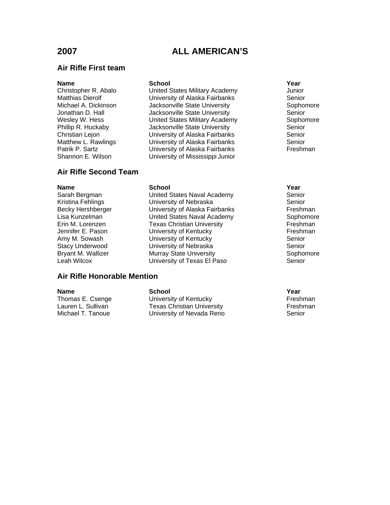### **Air Rifle First team**

### **Name School School School Xear**

Christopher R. Abalo United States Military Academy Junior Matthias Dierolf **Matthias Dierolf** University of Alaska Fairbanks<br>Michael A. Dickinson Michael A. Dickinson Michael A. Dickinson Jackson ville State University Jonathan D. Hall **Jacksonville State University** Senior Wesley W. Hess **Number Communist Communist United States Military Academy** Sophomore<br>
Phillip R. Huckaby **Supple State University** Senior Jacksonville State University **Senior** Christian Lejon University of Alaska Fairbanks Senior Matthew L. Rawlings University of Alaska Fairbanks Senior University of Alaska Fairbanks Freshman Shannon E. Wilson University of Mississippi Junior

### **Air Rifle Second Team**

### **Name School Year**

Sarah Bergman **National States Naval Academy** Senior Kristina Fehlings **Network** University of Nebraska **Senior** Senior Becky Hershberger **Becky Hershman**<br>
Lisa Kunzelman **Matter Contract Control** United States Naval Academy **Freshman** Sophomore United States Naval Academy Sophomore Erin M. Lorenzen Texas Christian University Freshman Jennifer E. Pason **Dialocat Control Control Control** Christen University of Kentucky Control Christen Senior<br>The University of Kentucky Christen Senior **University of Kentucky** Senior Stacy Underwood **University of Nebraska** Senior Bryant M. Wallizer **Murray State University** Sophomore<br>
Leah Wilcox **Murray State University of Texas El Paso** Senior University of Texas El Paso Senior

### **Air Rifle Honorable Mention**

**Name School Server School School Server Server Server Server Server Server Server Server Server Server Server** Thomas E. Csenge **The University of Kentucky** Freshman<br>
Lauren L. Sullivan **Freshman**<br>
Texas Christian University **Freshman** Lauren L. Sullivan **Texas Christian University**<br>Michael T. Tanoue **Frank Christian University of Nevada Reno** University of Nevada Reno Senior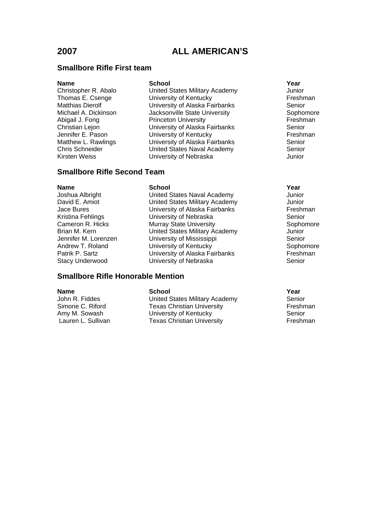### **Smallbore Rifle First team**

### **Name School School School Xear**

Christopher R. Abalo United States Military Academy Junior Thomas E. Csenge University of Kentucky Freshman University of Alaska Fairbanks Senior Michael A. Dickinson **Jacksonville State University** Sophomore Abigail J. Fong **Princeton University**<br>
Christian Lejon **Princeton University of Alaska Fairbanks** Senior University of Alaska Fairbanks<br>
University of Kentucky<br>
Freshman Jennifer E. Pason University of Kentucky Matthew L. Rawlings University of Alaska Fairbanks Senior United States Naval Academy Senior Kirsten Weiss University of Nebraska Junior

### **Smallbore Rifle Second Team**

### **Name School Year**

Joshua Albright United States Naval Academy Junior David E. Amiot United States Military Academy Junior Jace Bures **Communist Contract Contract Contract Contract Contract Contract Contract Contract Contract Contract Contract Contract Contract Contract Contract Contract Contract Contract Contract Contract Contract Contract Co** Kristina Fehlings University of Nebraska Senior Cameron R. Hicks **Murray State University** Sophomore Sophomore Brian M. Kern **Christer Contract Contract Christer** United States Military Academy Junior<br>Jennifer M. Lorenzen **M. Contract University of Mississippi** Christer Christer Christer Christer Christer Chris University of Mississippi Senior Andrew T. Roland **E. A. University of Kentucky** Sophomore Sophomore Patrik P. Sartz **E. Inc.** University of Alaska Fairbanks Freshman Stacy Underwood University of Nebraska Senior

### **Smallbore Rifle Honorable Mention**

**Name School Year**

John R. Fiddes **Intel States Military Academy** Senior<br>Simone C. Riford **Simone Senior States Christian University** Senior Streshman **Texas Christian University** Amy M. Sowash **Example 20** University of Kentucky **Senior** Senior Lauren L. Sullivan Texas Christian University Freshman